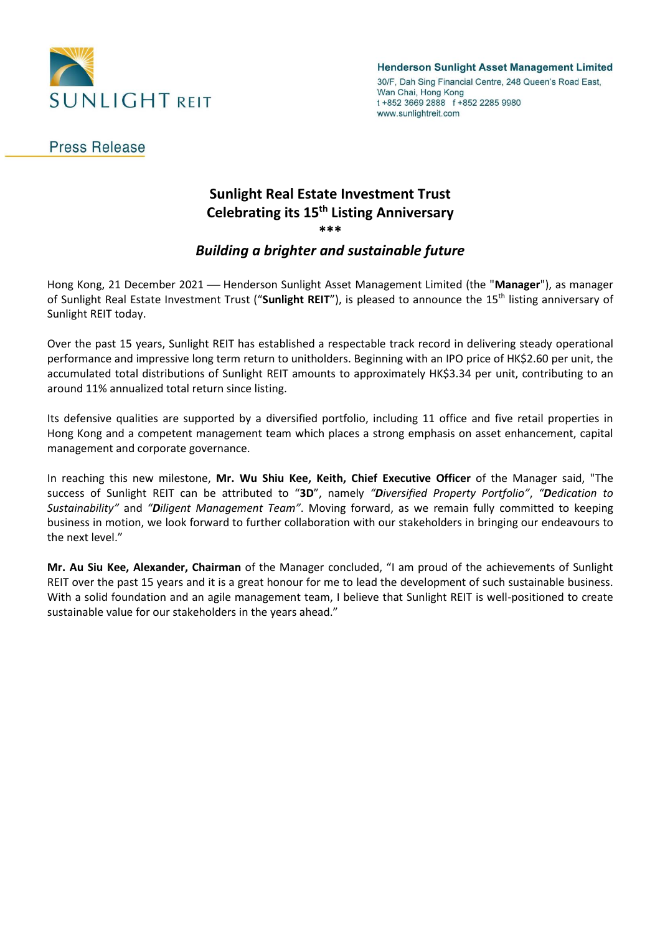

**Henderson Sunlight Asset Management Limited** 

30/F, Dah Sing Financial Centre, 248 Queen's Road East, Wan Chai, Hong Kong t +852 3669 2888 f +852 2285 9980 www.sunlightreit.com

## **Press Release**

# **Sunlight Real Estate Investment Trust Celebrating its 15th Listing Anniversary \*\*\***

### *Building a brighter and sustainable future*

Hong Kong, 21 December 2021 - Henderson Sunlight Asset Management Limited (the "Manager"), as manager of Sunlight Real Estate Investment Trust ("Sunlight REIT"), is pleased to announce the 15<sup>th</sup> listing anniversary of Sunlight REIT today.

Over the past 15 years, Sunlight REIT has established a respectable track record in delivering steady operational performance and impressive long term return to unitholders. Beginning with an IPO price of HK\$2.60 per unit, the accumulated total distributions of Sunlight REIT amounts to approximately HK\$3.34 per unit, contributing to an around 11% annualized total return since listing.

Its defensive qualities are supported by a diversified portfolio, including 11 office and five retail properties in Hong Kong and a competent management team which places a strong emphasis on asset enhancement, capital management and corporate governance.

In reaching this new milestone, **Mr. Wu Shiu Kee, Keith, Chief Executive Officer** of the Manager said, "The success of Sunlight REIT can be attributed to "**3D**", namely *"Diversified Property Portfolio"*, *"Dedication to Sustainability"* and *"Diligent Management Team"*. Moving forward, as we remain fully committed to keeping business in motion, we look forward to further collaboration with our stakeholders in bringing our endeavours to the next level."

**Mr. Au Siu Kee, Alexander, Chairman** of the Manager concluded, "I am proud of the achievements of Sunlight REIT over the past 15 years and it is a great honour for me to lead the development of such sustainable business. With a solid foundation and an agile management team, I believe that Sunlight REIT is well-positioned to create sustainable value for our stakeholders in the years ahead."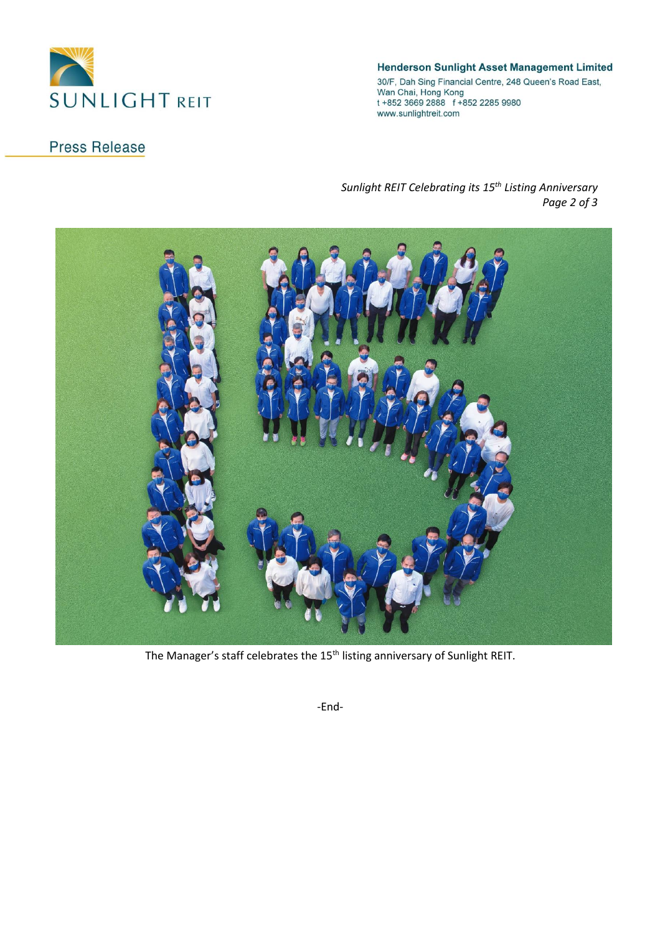

#### **Henderson Sunlight Asset Management Limited**

30/F, Dah Sing Financial Centre, 248 Queen's Road East,<br>Wan Chai, Hong Kong<br>t +852 3669 2888 f +852 2285 9980 www.sunlightreit.com

# **Press Release**

#### *Sunlight REIT Celebrating its 15th Listing Anniversary Page 2 of 3*



The Manager's staff celebrates the 15<sup>th</sup> listing anniversary of Sunlight REIT.

-End-